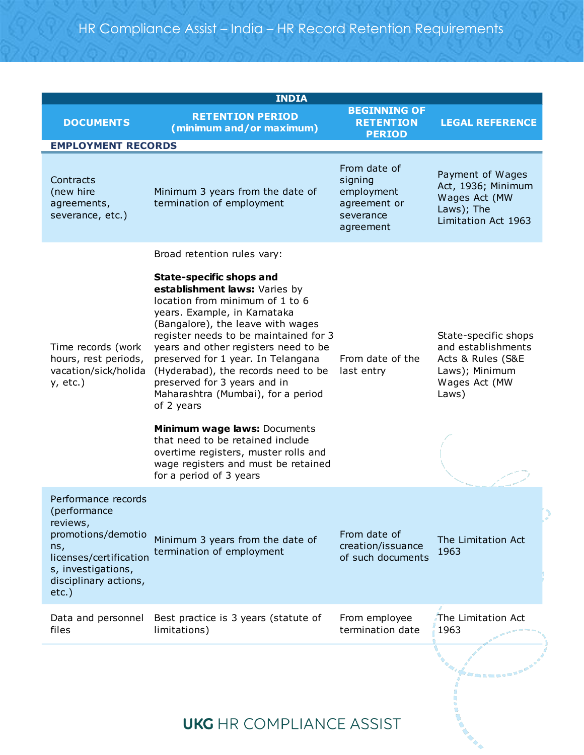|                                                                                                                                                                   | <b>INDIA</b>                                                                                                                                                                                                                                                                                                                                                                                                                                                                                                                                                                                      |                                                                                 |                                                                                                             |
|-------------------------------------------------------------------------------------------------------------------------------------------------------------------|---------------------------------------------------------------------------------------------------------------------------------------------------------------------------------------------------------------------------------------------------------------------------------------------------------------------------------------------------------------------------------------------------------------------------------------------------------------------------------------------------------------------------------------------------------------------------------------------------|---------------------------------------------------------------------------------|-------------------------------------------------------------------------------------------------------------|
| <b>DOCUMENTS</b>                                                                                                                                                  | <b>RETENTION PERIOD</b><br>(minimum and/or maximum)                                                                                                                                                                                                                                                                                                                                                                                                                                                                                                                                               | <b>BEGINNING OF</b><br><b>RETENTION</b><br><b>PERIOD</b>                        | <b>LEGAL REFERENCE</b>                                                                                      |
| <b>EMPLOYMENT RECORDS</b>                                                                                                                                         |                                                                                                                                                                                                                                                                                                                                                                                                                                                                                                                                                                                                   |                                                                                 |                                                                                                             |
| Contracts<br>(new hire<br>agreements,<br>severance, etc.)                                                                                                         | Minimum 3 years from the date of<br>termination of employment                                                                                                                                                                                                                                                                                                                                                                                                                                                                                                                                     | From date of<br>signing<br>employment<br>agreement or<br>severance<br>agreement | Payment of Wages<br>Act, 1936; Minimum<br>Wages Act (MW<br>Laws); The<br>Limitation Act 1963                |
|                                                                                                                                                                   | Broad retention rules vary:                                                                                                                                                                                                                                                                                                                                                                                                                                                                                                                                                                       |                                                                                 |                                                                                                             |
| Time records (work<br>hours, rest periods,<br>vacation/sick/holida<br>$y, etc.$ )                                                                                 | State-specific shops and<br>establishment laws: Varies by<br>location from minimum of 1 to 6<br>years. Example, in Karnataka<br>(Bangalore), the leave with wages<br>register needs to be maintained for 3<br>years and other registers need to be<br>preserved for 1 year. In Telangana<br>(Hyderabad), the records need to be<br>preserved for 3 years and in<br>Maharashtra (Mumbai), for a period<br>of 2 years<br>Minimum wage laws: Documents<br>that need to be retained include<br>overtime registers, muster rolls and<br>wage registers and must be retained<br>for a period of 3 years | From date of the<br>last entry                                                  | State-specific shops<br>and establishments<br>Acts & Rules (S&E<br>Laws); Minimum<br>Wages Act (MW<br>Laws) |
| Performance records<br>(performance<br>reviews,<br>promotions/demotio<br>ns,<br>licenses/certification<br>s, investigations,<br>disciplinary actions,<br>$etc.$ ) | Minimum 3 years from the date of<br>termination of employment                                                                                                                                                                                                                                                                                                                                                                                                                                                                                                                                     | From date of<br>creation/issuance<br>of such documents                          | The Limitation Act<br>1963                                                                                  |
| Data and personnel<br>files                                                                                                                                       | Best practice is 3 years (statute of<br>limitations)                                                                                                                                                                                                                                                                                                                                                                                                                                                                                                                                              | From employee<br>termination date                                               | The Limitation Act<br>1963                                                                                  |
|                                                                                                                                                                   | <b>UKG</b> HR COMPLIANCE ASSIST                                                                                                                                                                                                                                                                                                                                                                                                                                                                                                                                                                   |                                                                                 |                                                                                                             |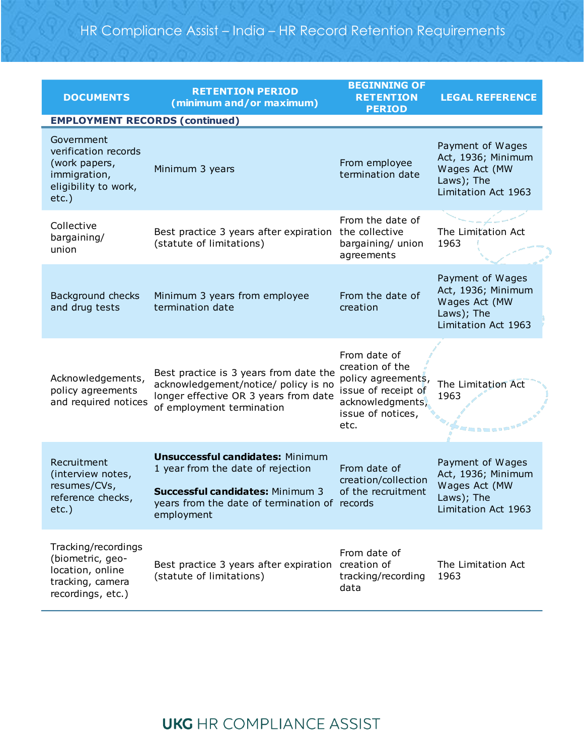| <b>DOCUMENTS</b>                                                                                                                                 | <b>RETENTION PERIOD</b><br>(minimum and/or maximum)                                                                                                                             | <b>BEGINNING OF</b><br><b>RETENTION</b><br><b>PERIOD</b>                                                                      | <b>LEGAL REFERENCE</b>                                                                       |
|--------------------------------------------------------------------------------------------------------------------------------------------------|---------------------------------------------------------------------------------------------------------------------------------------------------------------------------------|-------------------------------------------------------------------------------------------------------------------------------|----------------------------------------------------------------------------------------------|
| <b>EMPLOYMENT RECORDS (continued)</b><br>Government<br>verification records<br>(work papers,<br>immigration,<br>eligibility to work,<br>$etc.$ ) | Minimum 3 years                                                                                                                                                                 | From employee<br>termination date                                                                                             | Payment of Wages<br>Act, 1936; Minimum<br>Wages Act (MW<br>Laws); The<br>Limitation Act 1963 |
| Collective<br>bargaining/<br>union                                                                                                               | Best practice 3 years after expiration<br>(statute of limitations)                                                                                                              | From the date of<br>the collective<br>bargaining/ union<br>agreements                                                         | The Limitation Act<br>1963                                                                   |
| Background checks<br>and drug tests                                                                                                              | Minimum 3 years from employee<br>termination date                                                                                                                               | From the date of<br>creation                                                                                                  | Payment of Wages<br>Act, 1936; Minimum<br>Wages Act (MW<br>Laws); The<br>Limitation Act 1963 |
| Acknowledgements,<br>policy agreements<br>and required notices                                                                                   | Best practice is 3 years from date the<br>acknowledgement/notice/ policy is no<br>longer effective OR 3 years from date<br>of employment termination                            | From date of<br>creation of the<br>policy agreements,<br>issue of receipt of<br>acknowledgments,<br>issue of notices,<br>etc. | The Limitation Act<br>1963                                                                   |
| Recruitment<br>(interview notes,<br>resumes/CVs,<br>reference checks,<br>$etc.$ )                                                                | <b>Unsuccessful candidates: Minimum</b><br>1 year from the date of rejection<br>Successful candidates: Minimum 3<br>years from the date of termination of records<br>employment | From date of<br>creation/collection<br>of the recruitment                                                                     | Payment of Wages<br>Act, 1936; Minimum<br>Wages Act (MW<br>Laws); The<br>Limitation Act 1963 |
| Tracking/recordings<br>(biometric, geo-<br>location, online<br>tracking, camera<br>recordings, etc.)                                             | Best practice 3 years after expiration<br>(statute of limitations)                                                                                                              | From date of<br>creation of<br>tracking/recording<br>data                                                                     | The Limitation Act<br>1963                                                                   |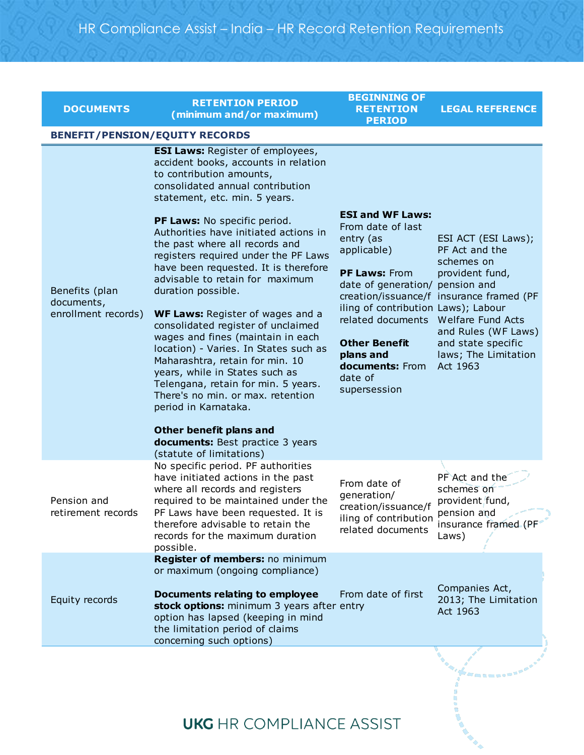| <b>DOCUMENTS</b>                                    | <b>RETENTION PERIOD</b><br>(minimum and/or maximum)                                                                                                                                                                                                                                                                                                                                                                                                                                                                                                                                                                                                                                                                                                                                                                                                                            | <b>BEGINNING OF</b><br><b>RETENTION</b><br><b>PERIOD</b>                                                                                                                                                                                                                    | <b>LEGAL REFERENCE</b>                                                                                                                                                                                                   |
|-----------------------------------------------------|--------------------------------------------------------------------------------------------------------------------------------------------------------------------------------------------------------------------------------------------------------------------------------------------------------------------------------------------------------------------------------------------------------------------------------------------------------------------------------------------------------------------------------------------------------------------------------------------------------------------------------------------------------------------------------------------------------------------------------------------------------------------------------------------------------------------------------------------------------------------------------|-----------------------------------------------------------------------------------------------------------------------------------------------------------------------------------------------------------------------------------------------------------------------------|--------------------------------------------------------------------------------------------------------------------------------------------------------------------------------------------------------------------------|
|                                                     | <b>BENEFIT/PENSION/EQUITY RECORDS</b>                                                                                                                                                                                                                                                                                                                                                                                                                                                                                                                                                                                                                                                                                                                                                                                                                                          |                                                                                                                                                                                                                                                                             |                                                                                                                                                                                                                          |
| Benefits (plan<br>documents,<br>enrollment records) | <b>ESI Laws: Register of employees,</b><br>accident books, accounts in relation<br>to contribution amounts,<br>consolidated annual contribution<br>statement, etc. min. 5 years.<br>PF Laws: No specific period.<br>Authorities have initiated actions in<br>the past where all records and<br>registers required under the PF Laws<br>have been requested. It is therefore<br>advisable to retain for maximum<br>duration possible.<br><b>WF Laws:</b> Register of wages and a<br>consolidated register of unclaimed<br>wages and fines (maintain in each<br>location) - Varies. In States such as<br>Maharashtra, retain for min. 10<br>years, while in States such as<br>Telengana, retain for min. 5 years.<br>There's no min. or max. retention<br>period in Karnataka.<br>Other benefit plans and<br><b>documents:</b> Best practice 3 years<br>(statute of limitations) | <b>ESI and WF Laws:</b><br>From date of last<br>entry (as<br>applicable)<br>PF Laws: From<br>date of generation/ pension and<br>iling of contribution Laws); Labour<br>related documents<br><b>Other Benefit</b><br>plans and<br>documents: From<br>date of<br>supersession | ESI ACT (ESI Laws);<br>PF Act and the<br>schemes on<br>provident fund,<br>creation/issuance/f insurance framed (PF<br>Welfare Fund Acts<br>and Rules (WF Laws)<br>and state specific<br>laws; The Limitation<br>Act 1963 |
| Pension and<br>retirement records                   | No specific period. PF authorities<br>have initiated actions in the past<br>where all records and registers<br>required to be maintained under the<br>PF Laws have been requested. It is<br>therefore advisable to retain the<br>records for the maximum duration<br>possible.                                                                                                                                                                                                                                                                                                                                                                                                                                                                                                                                                                                                 | From date of<br>generation/<br>creation/issuance/f<br>iling of contribution<br>related documents                                                                                                                                                                            | PF Act and the<br>schemes on<br>provident fund,<br>pension and<br>insurance framed (PF<br>Laws)                                                                                                                          |
| Equity records                                      | Register of members: no minimum<br>or maximum (ongoing compliance)<br>Documents relating to employee<br>stock options: minimum 3 years after entry<br>option has lapsed (keeping in mind<br>the limitation period of claims<br>concerning such options)                                                                                                                                                                                                                                                                                                                                                                                                                                                                                                                                                                                                                        | From date of first                                                                                                                                                                                                                                                          | Companies Act,<br>2013; The Limitation<br>Act 1963                                                                                                                                                                       |

## **UKG** HR COMPLIANCE ASSIST

Fannan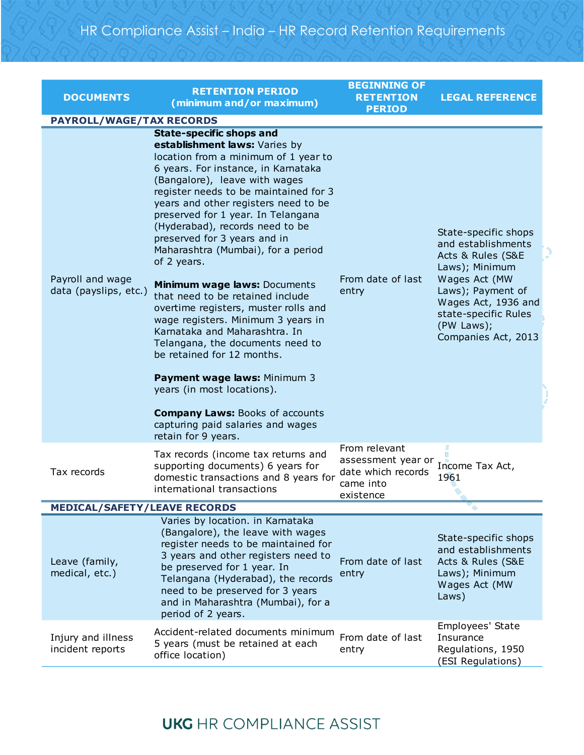| <b>DOCUMENTS</b>                          | <b>RETENTION PERIOD</b><br>(minimum and/or maximum)                                                                                                                                                                                                                                                                                                                                                                                                                                                                                                                                                                                                                                                                                                                                                                                                      | <b>BEGINNING OF</b><br><b>RETENTION</b><br><b>PERIOD</b>                            | <b>LEGAL REFERENCE</b>                                                                                                                                                                                      |
|-------------------------------------------|----------------------------------------------------------------------------------------------------------------------------------------------------------------------------------------------------------------------------------------------------------------------------------------------------------------------------------------------------------------------------------------------------------------------------------------------------------------------------------------------------------------------------------------------------------------------------------------------------------------------------------------------------------------------------------------------------------------------------------------------------------------------------------------------------------------------------------------------------------|-------------------------------------------------------------------------------------|-------------------------------------------------------------------------------------------------------------------------------------------------------------------------------------------------------------|
| <b>PAYROLL/WAGE/TAX RECORDS</b>           |                                                                                                                                                                                                                                                                                                                                                                                                                                                                                                                                                                                                                                                                                                                                                                                                                                                          |                                                                                     |                                                                                                                                                                                                             |
| Payroll and wage<br>data (payslips, etc.) | <b>State-specific shops and</b><br>establishment laws: Varies by<br>location from a minimum of 1 year to<br>6 years. For instance, in Karnataka<br>(Bangalore), leave with wages<br>register needs to be maintained for 3<br>years and other registers need to be<br>preserved for 1 year. In Telangana<br>(Hyderabad), records need to be<br>preserved for 3 years and in<br>Maharashtra (Mumbai), for a period<br>of 2 years.<br>Minimum wage laws: Documents<br>that need to be retained include<br>overtime registers, muster rolls and<br>wage registers. Minimum 3 years in<br>Karnataka and Maharashtra, In<br>Telangana, the documents need to<br>be retained for 12 months.<br>Payment wage laws: Minimum 3<br>years (in most locations).<br><b>Company Laws: Books of accounts</b><br>capturing paid salaries and wages<br>retain for 9 years. | From date of last<br>entry                                                          | State-specific shops<br>and establishments<br>Acts & Rules (S&E<br>Laws); Minimum<br>Wages Act (MW<br>Laws); Payment of<br>Wages Act, 1936 and<br>state-specific Rules<br>(PW Laws);<br>Companies Act, 2013 |
| Tax records                               | Tax records (income tax returns and<br>supporting documents) 6 years for<br>domestic transactions and 8 years for<br>international transactions                                                                                                                                                                                                                                                                                                                                                                                                                                                                                                                                                                                                                                                                                                          | From relevant<br>assessment year or<br>date which records<br>came into<br>existence | Income Tax Act,<br>1961                                                                                                                                                                                     |
| <b>MEDICAL/SAFETY/LEAVE RECORDS</b>       |                                                                                                                                                                                                                                                                                                                                                                                                                                                                                                                                                                                                                                                                                                                                                                                                                                                          |                                                                                     |                                                                                                                                                                                                             |
| Leave (family,<br>medical, etc.)          | Varies by location. in Karnataka<br>(Bangalore), the leave with wages<br>register needs to be maintained for<br>3 years and other registers need to<br>be preserved for 1 year. In<br>Telangana (Hyderabad), the records<br>need to be preserved for 3 years<br>and in Maharashtra (Mumbai), for a<br>period of 2 years.                                                                                                                                                                                                                                                                                                                                                                                                                                                                                                                                 | From date of last<br>entry                                                          | State-specific shops<br>and establishments<br>Acts & Rules (S&E<br>Laws); Minimum<br>Wages Act (MW<br>Laws)                                                                                                 |
| Injury and illness<br>incident reports    | Accident-related documents minimum<br>5 years (must be retained at each<br>office location)                                                                                                                                                                                                                                                                                                                                                                                                                                                                                                                                                                                                                                                                                                                                                              | From date of last<br>entry                                                          | Employees' State<br>Insurance<br>Regulations, 1950<br>(ESI Regulations)                                                                                                                                     |